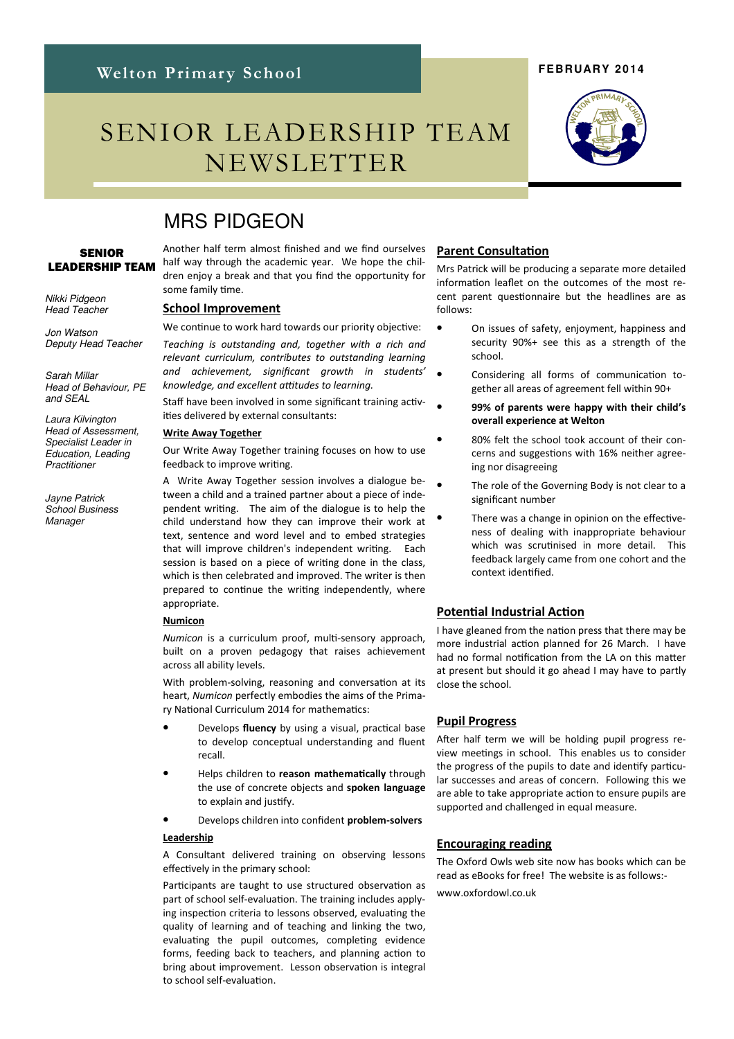# SENIOR LEADERSHIP TEAM NEWSLETTER

### **FEBRUARY 2014**



## MRS PIDGEON

#### **SENIOR** LEADERSHIP TEAM

Nikki Pidgeon Head Teacher

Jon Watson Deputy Head Teacher

Sarah Millar Head of Behaviour, PE and SEAL

Laura Kilvington Head of Assessment, Specialist Leader in Education, Leading **Practitioner** 

Jayne Patrick School Business **Manager** 

Another half term almost finished and we find ourselves half way through the academic year. We hope the children enjoy a break and that you find the opportunity for some family time.

#### School Improvement

We continue to work hard towards our priority objective:

Teaching is outstanding and, together with a rich and relevant curriculum, contributes to outstanding learning and achievement, significant growth in students' knowledge, and excellent attitudes to learning.

Staff have been involved in some significant training activities delivered by external consultants:

#### Write Away Together

Our Write Away Together training focuses on how to use feedback to improve writing.

A Write Away Together session involves a dialogue between a child and a trained partner about a piece of independent writing. The aim of the dialogue is to help the child understand how they can improve their work at text, sentence and word level and to embed strategies that will improve children's independent writing. Each session is based on a piece of writing done in the class, which is then celebrated and improved. The writer is then prepared to continue the writing independently, where appropriate.

#### **Numicon**

Numicon is a curriculum proof, multi-sensory approach. built on a proven pedagogy that raises achievement across all ability levels.

With problem-solving, reasoning and conversation at its heart, Numicon perfectly embodies the aims of the Primary National Curriculum 2014 for mathematics:

- Develops fluency by using a visual, practical base to develop conceptual understanding and fluent recall.
- Helps children to reason mathematically through the use of concrete objects and spoken language to explain and justify.

Develops children into confident problem-solvers

#### Leadership

A Consultant delivered training on observing lessons effectively in the primary school:

Participants are taught to use structured observation as part of school self-evaluation. The training includes applying inspection criteria to lessons observed, evaluating the quality of learning and of teaching and linking the two, evaluating the pupil outcomes, completing evidence forms, feeding back to teachers, and planning action to bring about improvement. Lesson observation is integral to school self-evaluation.

#### **Parent Consultation**

Mrs Patrick will be producing a separate more detailed information leaflet on the outcomes of the most recent parent questionnaire but the headlines are as follows:

- On issues of safety, enjoyment, happiness and security 90%+ see this as a strength of the school.
	- Considering all forms of communication together all areas of agreement fell within 90+
	- 99% of parents were happy with their child's overall experience at Welton
	- 80% felt the school took account of their concerns and suggestions with 16% neither agreeing nor disagreeing
	- The role of the Governing Body is not clear to a significant number
	- There was a change in opinion on the effectiveness of dealing with inappropriate behaviour which was scrutinised in more detail. This feedback largely came from one cohort and the context idenfied.

#### **Potential Industrial Action**

I have gleaned from the nation press that there may be more industrial action planned for 26 March. I have had no formal notification from the LA on this matter at present but should it go ahead I may have to partly close the school.

#### Pupil Progress

After half term we will be holding pupil progress review meetings in school. This enables us to consider the progress of the pupils to date and identify particular successes and areas of concern. Following this we are able to take appropriate action to ensure pupils are supported and challenged in equal measure.

#### Encouraging reading

The Oxford Owls web site now has books which can be read as eBooks for free! The website is as follows: www.oxfordowl.co.uk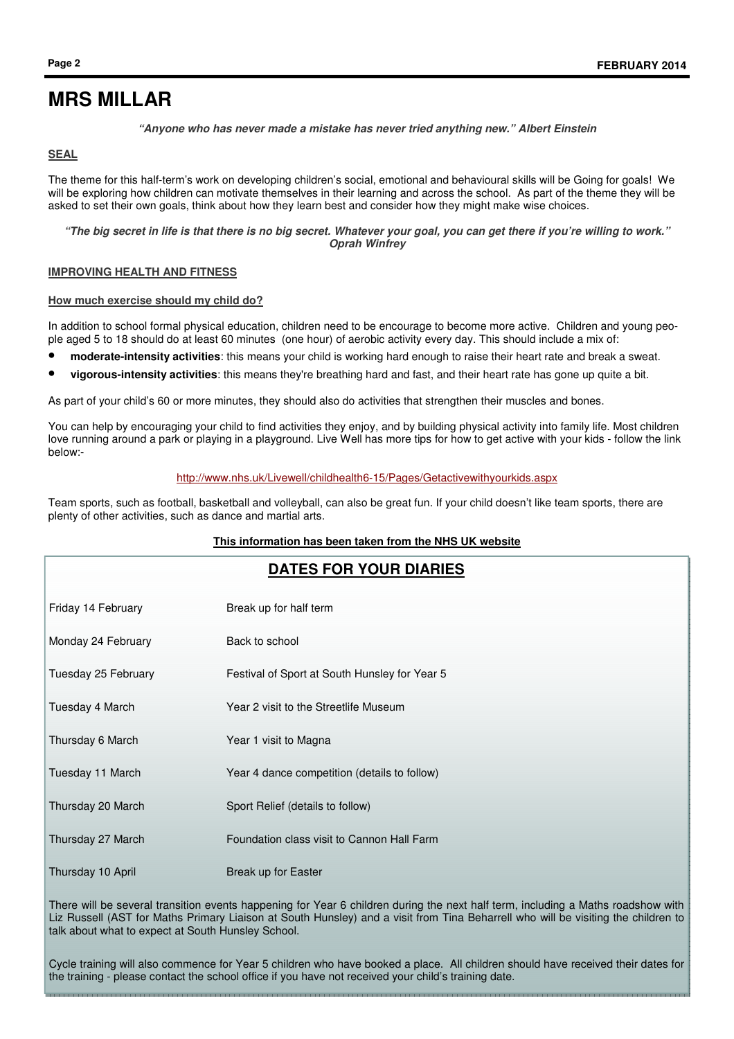#### **"Anyone who has never made a mistake has never tried anything new." Albert Einstein**

#### **SEAL**

The theme for this half-term's work on developing children's social, emotional and behavioural skills will be Going for goals! We will be exploring how children can motivate themselves in their learning and across the school. As part of the theme they will be asked to set their own goals, think about how they learn best and consider how they might make wise choices.

**"The big secret in life is that there is no big secret. Whatever your goal, you can get there if you're willing to work." Oprah Winfrey** 

#### **IMPROVING HEALTH AND FITNESS**

#### **How much exercise should my child do?**

In addition to school formal physical education, children need to be encourage to become more active. Children and young people aged 5 to 18 should do at least 60 minutes (one hour) of aerobic activity every day. This should include a mix of:

- **moderate-intensity activities**: this means your child is working hard enough to raise their heart rate and break a sweat.
- **vigorous-intensity activities**: this means they're breathing hard and fast, and their heart rate has gone up quite a bit.

As part of your child's 60 or more minutes, they should also do activities that strengthen their muscles and bones.

You can help by encouraging your child to find activities they enjoy, and by building physical activity into family life. Most children love running around a park or playing in a playground. Live Well has more tips for how to get active with your kids - follow the link below:-

#### http://www.nhs.uk/Livewell/childhealth6-15/Pages/Getactivewithyourkids.aspx

Team sports, such as football, basketball and volleyball, can also be great fun. If your child doesn't like team sports, there are plenty of other activities, such as dance and martial arts.

#### **This information has been taken from the NHS UK website**

| <b>DATES FOR YOUR DIARIES</b> |                                               |
|-------------------------------|-----------------------------------------------|
| Friday 14 February            | Break up for half term                        |
| Monday 24 February            | Back to school                                |
| Tuesday 25 February           | Festival of Sport at South Hunsley for Year 5 |
| Tuesday 4 March               | Year 2 visit to the Streetlife Museum         |
| Thursday 6 March              | Year 1 visit to Magna                         |
| Tuesday 11 March              | Year 4 dance competition (details to follow)  |
| Thursday 20 March             | Sport Relief (details to follow)              |
| Thursday 27 March             | Foundation class visit to Cannon Hall Farm    |
| Thursday 10 April             | Break up for Easter                           |
|                               |                                               |

There will be several transition events happening for Year 6 children during the next half term, including a Maths roadshow with Liz Russell (AST for Maths Primary Liaison at South Hunsley) and a visit from Tina Beharrell who will be visiting the children to talk about what to expect at South Hunsley School.

Cycle training will also commence for Year 5 children who have booked a place. All children should have received their dates for the training - please contact the school office if you have not received your child's training date.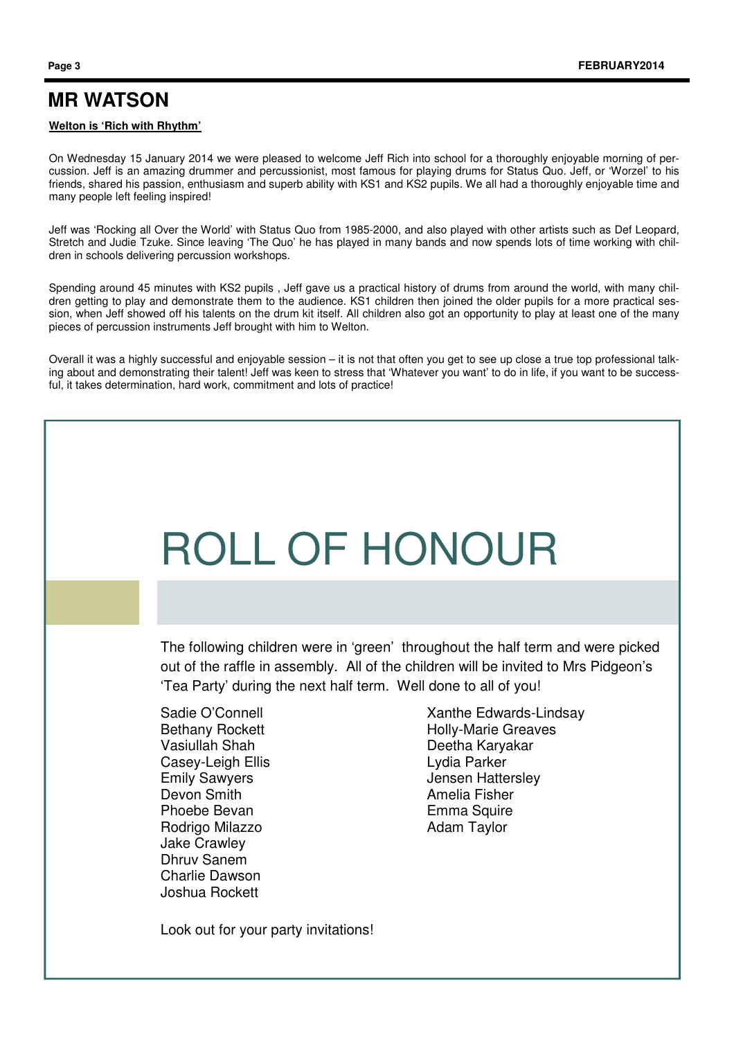## **MR WATSON**

#### **Welton is 'Rich with Rhythm'**

On Wednesday 15 January 2014 we were pleased to welcome Jeff Rich into school for a thoroughly enjoyable morning of percussion. Jeff is an amazing drummer and percussionist, most famous for playing drums for Status Quo. Jeff, or 'Worzel' to his friends, shared his passion, enthusiasm and superb ability with KS1 and KS2 pupils. We all had a thoroughly enjoyable time and many people left feeling inspired!

Jeff was 'Rocking all Over the World' with Status Quo from 1985-2000, and also played with other artists such as Def Leopard, Stretch and Judie Tzuke. Since leaving 'The Quo' he has played in many bands and now spends lots of time working with children in schools delivering percussion workshops.

Spending around 45 minutes with KS2 pupils , Jeff gave us a practical history of drums from around the world, with many children getting to play and demonstrate them to the audience. KS1 children then joined the older pupils for a more practical session, when Jeff showed off his talents on the drum kit itself. All children also got an opportunity to play at least one of the many pieces of percussion instruments Jeff brought with him to Welton.

Overall it was a highly successful and enjoyable session – it is not that often you get to see up close a true top professional talking about and demonstrating their talent! Jeff was keen to stress that 'Whatever you want' to do in life, if you want to be successful, it takes determination, hard work, commitment and lots of practice!